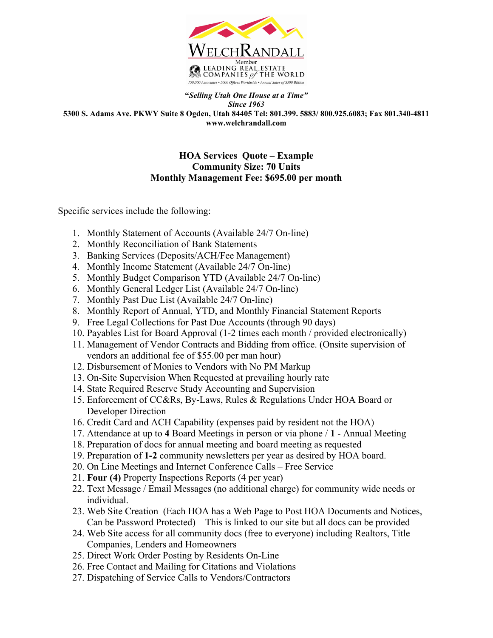

**"***Selling Utah One House at a Time" Since 1963* **5300 S. Adams Ave. PKWY Suite 8 Ogden, Utah 84405 Tel: 801.399. 5883/ 800.925.6083; Fax 801.340-4811 www.welchrandall.com**

## **HOA Services Quote – Example Community Size: 70 Units Monthly Management Fee: \$695.00 per month**

Specific services include the following:

- 1. Monthly Statement of Accounts (Available 24/7 On-line)
- 2. Monthly Reconciliation of Bank Statements
- 3. Banking Services (Deposits/ACH/Fee Management)
- 4. Monthly Income Statement (Available 24/7 On-line)
- 5. Monthly Budget Comparison YTD (Available 24/7 On-line)
- 6. Monthly General Ledger List (Available 24/7 On-line)
- 7. Monthly Past Due List (Available 24/7 On-line)
- 8. Monthly Report of Annual, YTD, and Monthly Financial Statement Reports
- 9. Free Legal Collections for Past Due Accounts (through 90 days)
- 10. Payables List for Board Approval (1-2 times each month / provided electronically)
- 11. Management of Vendor Contracts and Bidding from office. (Onsite supervision of vendors an additional fee of \$55.00 per man hour)
- 12. Disbursement of Monies to Vendors with No PM Markup
- 13. On-Site Supervision When Requested at prevailing hourly rate
- 14. State Required Reserve Study Accounting and Supervision
- 15. Enforcement of CC&Rs, By-Laws, Rules & Regulations Under HOA Board or Developer Direction
- 16. Credit Card and ACH Capability (expenses paid by resident not the HOA)
- 17. Attendance at up to **4** Board Meetings in person or via phone / **1** Annual Meeting
- 18. Preparation of docs for annual meeting and board meeting as requested
- 19. Preparation of **1-2** community newsletters per year as desired by HOA board.
- 20. On Line Meetings and Internet Conference Calls Free Service
- 21. **Four (4)** Property Inspections Reports (4 per year)
- 22. Text Message / Email Messages (no additional charge) for community wide needs or individual.
- 23. Web Site Creation (Each HOA has a Web Page to Post HOA Documents and Notices, Can be Password Protected) – This is linked to our site but all docs can be provided
- 24. Web Site access for all community docs (free to everyone) including Realtors, Title Companies, Lenders and Homeowners
- 25. Direct Work Order Posting by Residents On-Line
- 26. Free Contact and Mailing for Citations and Violations
- 27. Dispatching of Service Calls to Vendors/Contractors